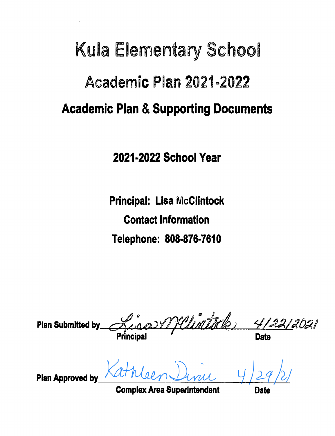## **Kula Elementary School Academic Plan 2021-2022 Academic Plan & Supporting Documents**

2021-2022 School Year

**Principal: Lisa McClintock Contact Information** Telephone: 808-876-7610

Welintello **Plan Submitted by Principa Plan Approved by** 

**Complex Area Superintendent**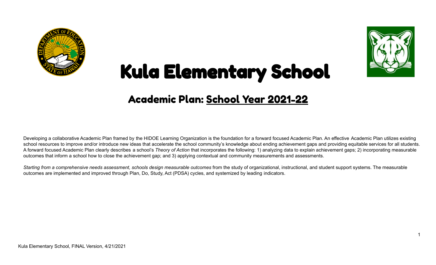



# Kula Elementary School

## Academic Plan: School Year 2021-22

Developing a collaborative Academic Plan framed by the HIDOE Learning Organization is the foundation for a forward focused Academic Plan. An effective Academic Plan utilizes existing school resources to improve and/or introduce new ideas that accelerate the school community's knowledge about ending achievement gaps and providing equitable services for all students. A forward focused Academic Plan clearly describes a school's *Theory of Action* that incorporates the following: 1) analyzing data to explain achievement gaps; 2) incorporating measurable outcomes that inform a school how to close the achievement gap; and 3) applying contextual and community measurements and assessments.

Starting from a comprehensive needs assessment, schools design measurable outcomes from the study of organizational, instructional, and student support systems. The measurable outcomes are implemented and improved through Plan, Do, Study, Act (PDSA) cycles, and systemized by leading indicators.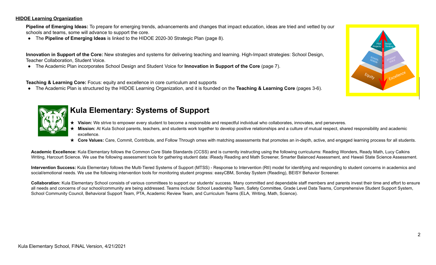#### **HIDOE Learning Organization**

**Pipeline of Emerging Ideas:** To prepare for emerging trends, advancements and changes that impact education, ideas are tried and vetted by our schools and teams, some will advance to support the core.

● The **Pipeline of Emerging Ideas** is linked to the HIDOE 2020-30 Strategic Plan (page 8).



**Innovation in Support of the Core:** New strategies and systems for delivering teaching and learning. High-Impact strategies: School Design, Teacher Collaboration, Student Voice.

● The Academic Plan incorporates School Design and Student Voice for **Innovation in Support of the Core** (page 7).

**Teaching & Learning Core:** Focus: equity and excellence in core curriculum and supports

● The Academic Plan is structured by the HIDOE Learning Organization, and it is founded on the **Teaching & Learning Core** (pages 3-6).



### **Kula Elementary: Systems of Support**

- Vision: We strive to empower every student to become a responsible and respectful individual who collaborates, innovates, and perseveres.
- Mission: At Kula School parents, teachers, and students work together to develop positive relationships and a culture of mutual respect, shared responsibility and academic excellence.
- **★ Core Values:** Care, Commit, Contribute, and Follow Through omes with matching assessments that promotes an in-depth, active, and engaged learning process for all students.

**Academic Excellence:** Kula Elementary follows the Common Core State Standards (CCSS) and is currently instructing using the following curriculums: Reading Wonders, Ready Math, Lucy Calkins Writing, Harcourt Science. We use the following assessment tools for gathering student data: iReady Reading and Math Screener, Smarter Balanced Assessment, and Hawaii State Science Assessment.

Intervention Success: Kula Elementary follows the Multi-Tiered Systems of Support (MTSS) - Response to Intervention (RtI) model for identifying and responding to student concerns in academics and social/emotional needs. We use the following intervention tools for monitoring student progress: easyCBM, Sonday System (Reading), BEISY Behavior Screener.

Collaboration: Kula Elementary School consists of various committees to support our students' success. Many committed and dependable staff members and parents invest their time and effort to ensure all needs and concerns of our school/community are being addressed. Teams include: School Leadership Team, Safety Committee, Grade Level Data Teams, Comprehensive Student Support System, School Community Council, Behavioral Support Team, PTA, Academic Review Team, and Curriculum Teams (ELA, Writing, Math, Science).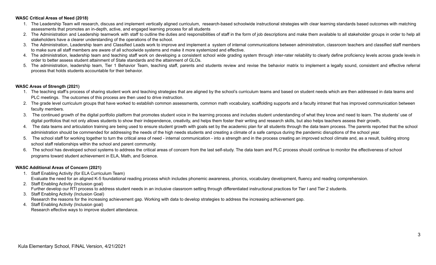#### **WASC Critical Areas of Need (2018)**

- 1. The Leadership Team will research, discuss and implement vertically aligned curriculum, research-based schoolwide instructional strategies with clear learning standards based outcomes with matching assessments that promotes an in-depth, active, and engaged learning process for all students
- 2. The Administration and Leadership teamwork with staff to outline the duties and responsibilities of staff in the form of job descriptions and make them available to all stakeholder groups in order to help all stakeholders have a clearer understanding of the operations of the school.
- 3. The Administration, Leadership team and Classified Leads work to improve and implement a system of internal communications between administration, classroom teachers and classified staff members to make sure all staff members are aware of all schoolwide systems and make it more systemized and effective.
- 4. The administration, leadership team and teaching staff work on developing a consistent school wide grading system through inter-rater reliability to clearly define proficiency levels across grade levels in order to better assess student attainment of State standards and the attainment of GLOs.
- 5. The administration, leadership team, Tier 1 Behavior Team, teaching staff, parents and students review and revise the behavior matrix to implement a legally sound, consistent and effective referral process that holds students accountable for their behavior.

#### **WASC Areas of Strength (2021)**

- 1. The teaching staff's process of sharing student work and teaching strategies that are aligned by the school's curriculum teams and based on student needs which are then addressed in data teams and PLC meetings. The outcomes of this process are then used to drive instruction.
- 2. The grade level curriculum groups that have worked to establish common assessments, common math vocabulary, scaffolding supports and a faculty intranet that has improved communication between faculty members.
- 3. The continued growth of the digital portfolio platform that promotes student voice in the learning process and includes student understanding of what they know and need to learn. The students' use of digital portfolios that not only allows students to show their independence, creativity, and helps them foster their writing and research skills, but also helps teachers assess their growth,
- 4. The data teams and articulation training are being used to ensure student growth with goals set by the academic plan for all students through the data team process. The parents reported that the school administration should be commended for addressing the needs of the high needs students and creating a climate of a safe campus during the pandemic disruptions of the school year.
- 5. The school staff for working together to turn the critical area of need internal communication into a strength and in the process creating an improved school climate and, as a result, building strong school staff relationships within the school and parent community.
- 6. The school has developed school systems to address the critical areas of concern from the last self-study. The data team and PLC process should continue to monitor the effectiveness of school programs toward student achievement in ELA, Math, and Science.

#### **WASC Additional Areas of Concern (2021)**

- 1. Staff Enabling Activity (for ELA Curriculum Team) Evaluate the need for an aligned K-5 foundational reading process which includes phonemic awareness, phonics, vocabulary development, fluency and reading comprehension.
- 2. Staff Enabling Activity (Inclusion goal) Further develop our RTI process to address student needs in an inclusive classroom setting through differentiated instructional practices for Tier I and Tier 2 students.
- 3. Staff Enabling Activity (Inclusion Goal) Research the reasons for the increasing achievement gap. Working with data to develop strategies to address the increasing achievement gap.
- 4. Staff Enabling Activity (Inclusion goal) Research effective ways to improve student attendance.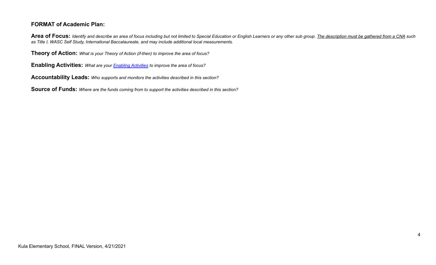#### **FORMAT of Academic Plan:**

Area of Focus: Identify and describe an area of focus including but not limited to Special Education or English Learners or any other sub group. The description must be gathered from a CNA such *as Title I, WASC Self Study, International Baccalaureate, and may include additional local measurements.*

**Theory of Action:** *What is your Theory of Action (if-then) to improve the area of focus?*

**Enabling Activities:** *What are your Enabling [Activities](https://docs.google.com/document/d/1_CBCCCUPTqpr2sEeh1fQ9EUVupyhBBZlYUdzcm9zCw0) to improve the area of focus?*

**Accountability Leads:** *Who supports and monitors the activities described in this section?*

**Source of Funds:** *Where are the funds coming from to support the activities described in this section?*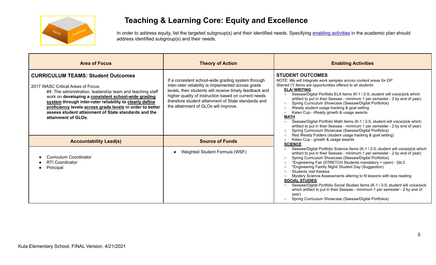

### **Teaching & Learning Core: Equity and Excellence**

In order to address equity, list the targeted subgroup(s) and their identified needs. Specifying enabling [activities](https://docs.google.com/document/d/1_CBCCCUPTqpr2sEeh1fQ9EUVupyhBBZlYUdzcm9zCw0) in the academic plan should address identified subgroup(s) and their needs.

| <b>Area of Focus</b>                                                                                                                                                                                                                                                                                                                                                                                        | <b>Theory of Action</b>                                                                                                                                                                                                                                                                                                    | <b>Enabling Activities</b>                                                                                                                                                                                                                                                                                                                                                                                                                                                                                                                                                                                                                                                                                                                                                                                                                                                        |
|-------------------------------------------------------------------------------------------------------------------------------------------------------------------------------------------------------------------------------------------------------------------------------------------------------------------------------------------------------------------------------------------------------------|----------------------------------------------------------------------------------------------------------------------------------------------------------------------------------------------------------------------------------------------------------------------------------------------------------------------------|-----------------------------------------------------------------------------------------------------------------------------------------------------------------------------------------------------------------------------------------------------------------------------------------------------------------------------------------------------------------------------------------------------------------------------------------------------------------------------------------------------------------------------------------------------------------------------------------------------------------------------------------------------------------------------------------------------------------------------------------------------------------------------------------------------------------------------------------------------------------------------------|
| <b>CURRICULUM TEAMS: Student Outcomes</b><br>2017 WASC Critical Areas of Focus<br>#4: The administration, leadership team and teaching staff<br>work on developing a consistent school-wide grading<br>system through inter-rater reliability to clearly define<br>proficiency levels across grade levels in order to better<br>assess student attainment of State standards and the<br>attainment of GLOs. | If a consistent school-wide grading system through<br>inter-rater reliability is implemented across grade<br>levels, then students will receive timely feedback and<br>higher quality of instruction based on current needs<br>therefore student attainment of State standards and<br>the attainment of GLOs will improve. | <b>STUDENT OUTCOMES</b><br>NOTE: We will Integrate work samples across content areas for DP<br>Starred (*) Items are opportunities offered to all students<br><b>ELA/ WRITING</b><br>Seesaw/Digital Portfolio ELA Items (K-1 / 2-5; student will voice/pick which<br>artifact to put in their Seesaw - minimum 1 per semester - 2 by end of year)<br>Spring Curriculum Showcase (Seesaw/Digital Portfolios)<br>$\circ$<br>iReady student usage tracking & goal setting<br>$\circ$<br>Kaleo Cup - iReady growth & usage awards<br>$\circ$<br><b>MATH</b><br>Seesaw/Digital Portfolio Math Items (K-1 / 2-5; student will voice/pick which<br>$\circ$<br>artifact to put in their Seesaw - minimum 1 per semester - 2 by end of year)<br>Spring Curriculum Showcase (Seesaw/Digital Portfolios)<br>$\circ$<br>Red iReady Folders (student usage tracking & goal setting)<br>$\circ$ |
| <b>Accountability Lead(s)</b>                                                                                                                                                                                                                                                                                                                                                                               | <b>Source of Funds</b>                                                                                                                                                                                                                                                                                                     | Kaleo Cup - growth & usage awards<br><b>SCIENCE</b>                                                                                                                                                                                                                                                                                                                                                                                                                                                                                                                                                                                                                                                                                                                                                                                                                               |
| <b>Curriculum Coordinator</b><br><b>RTI Coordinator</b><br>Principal                                                                                                                                                                                                                                                                                                                                        | Weighted Student Formula (WSF)                                                                                                                                                                                                                                                                                             | Seesaw/Digital Portfolio Science Items (K-1 / 2-5; student will voice/pick which<br>artifact to put in their Seesaw - minimum 1 per semester - 2 by end of year)<br>Spring Curriculum Showcase (Seesaw/Digital Portfolios)<br>$\circ$<br>*Engineering Fair (STRETCH Students mandatory + open) - Qtr.2<br>$\circ$<br>*Engineering Family Night/ Student Day (Suggestion)<br>$\circ$<br>Students visit Keokea<br>$\circ$<br>Mystery Science Assessments altering to fit lessons with less reading<br><b>SOCIAL STUDIES</b><br>Seesaw/Digital Portfolio Social Studies Items (K-1 / 2-5; student will voice/pick<br>$\circ$<br>which artifact to put in their Seesaw - minimum 1 per semester - 2 by end of<br>year)<br>Spring Curriculum Showcase (Seesaw/Digital Portfolios)<br>$\circ$                                                                                           |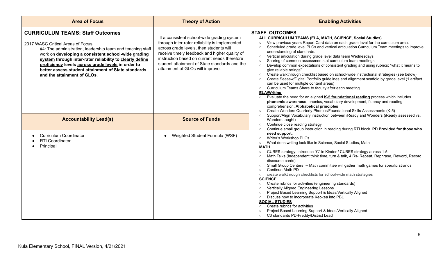| <b>Area of Focus</b>                                                                                                                                                                                                                                                                                                                                                                                      | <b>Theory of Action</b>                                                                                                                                                                                                                                                                                                       | <b>Enabling Activities</b>                                                                                                                                                                                                                                                                                                                                                                                                                                                                                                                                                                                                                                                                                                                                                                                                                                                                                                                                                                                                                                                                                                                                                                                                                           |
|-----------------------------------------------------------------------------------------------------------------------------------------------------------------------------------------------------------------------------------------------------------------------------------------------------------------------------------------------------------------------------------------------------------|-------------------------------------------------------------------------------------------------------------------------------------------------------------------------------------------------------------------------------------------------------------------------------------------------------------------------------|------------------------------------------------------------------------------------------------------------------------------------------------------------------------------------------------------------------------------------------------------------------------------------------------------------------------------------------------------------------------------------------------------------------------------------------------------------------------------------------------------------------------------------------------------------------------------------------------------------------------------------------------------------------------------------------------------------------------------------------------------------------------------------------------------------------------------------------------------------------------------------------------------------------------------------------------------------------------------------------------------------------------------------------------------------------------------------------------------------------------------------------------------------------------------------------------------------------------------------------------------|
| <b>CURRICULUM TEAMS: Staff Outcomes</b><br>2017 WASC Critical Areas of Focus<br>#4: The administration, leadership team and teaching staff<br>work on developing a consistent school-wide grading<br>system through inter-rater reliability to clearly define<br>proficiency levels across grade levels in order to<br>better assess student attainment of State standards<br>and the attainment of GLOs. | If a consistent school-wide grading system<br>through inter-rater reliability is implemented<br>across grade levels, then students will<br>receive timely feedback and higher quality of<br>instruction based on current needs therefore<br>student attainment of State standards and the<br>attainment of GLOs will improve. | <b>STAFF OUTCOMES</b><br>ALL CURRICULUM TEAMS (ELA, MATH, SCIENCE, Social Studies)<br>View previous years Report Card data on each grade level for the curriculum area.<br>$\circ$<br>Scheduled grade level PLCs and vertical articulation Curriculum Team meetings to improve<br>$\circ$<br>understanding of standards.<br>Vertical articulation during grade level data team Wednesdays<br>$\circ$<br>Sharing of common assessments at curriculum team meetings.<br>Develop common expectations of consistent grading and using rubrics: "what it means to<br>$\circ$<br>give reliable ratings"<br>Create walkthrough checklist based on school-wide instructional strategies (see below)<br>$\circ$<br>Create Seesaw/Digital Portfolio guidelines and alignment scaffold by grade level (1 artifact<br>can be used for multiple content areas)<br>Curriculum Teams Share to faculty after each meeting<br>$\circ$<br><b>ELA/Writing</b><br>Evaluate the need for an aligned K-5 foundational reading process which includes<br>$\circ$<br>phonemic awareness, phonics, vocabulary development, fluency and reading<br>comprehension. Alphabetical principles<br>Create Wonders Quarterly Phonics/Foundational Skills Assessments (K-5)<br>$\circ$ |
| <b>Accountability Lead(s)</b>                                                                                                                                                                                                                                                                                                                                                                             | <b>Source of Funds</b>                                                                                                                                                                                                                                                                                                        | Support/Align Vocabulary instruction between iReady and Wonders (iReady assessed vs.<br>Wonders taught)<br>Continue close reading strategy<br>$\circ$<br>Continue small group instruction in reading during RTI block. PD Provided for those who                                                                                                                                                                                                                                                                                                                                                                                                                                                                                                                                                                                                                                                                                                                                                                                                                                                                                                                                                                                                     |
| <b>Curriculum Coordinator</b><br><b>RTI Coordinator</b><br>Principal                                                                                                                                                                                                                                                                                                                                      | Weighted Student Formula (WSF)                                                                                                                                                                                                                                                                                                | need support.<br>Writer's Workshop PLCs<br>$\circ$<br>What does writing look like in Science, Social Studies, Math<br>$\circ$<br><b>MATH</b><br>CUBES strategy: Introduce "C" in Kinder / CUBES strategy across 1-5<br>$\circ$<br>Math Talks (Independent think time, turn & talk, 4 Rs- Repeat, Rephrase, Reword, Record,<br>$\circ$<br>discourse cards)<br>Small Group Centers -- Math committee will gather math games for specific strands<br>$\circ$<br>Continue Math PD<br>$\circ$<br>create walkthrough checklists for school-wide math strategies<br>$\circ$<br><b>SCIENCE</b><br>Create rubrics for activities (engineering standards)<br>$\circ$<br>Vertically Aligned Engineering Lessons<br>$\circ$<br>Project Based Learning Support & Ideas/Vertically Aligned<br>$\circ$<br>Discuss how to incorporate Keokea into PBL<br>$\circ$<br><b>SOCIAL STUDIES</b><br>Create rubrics for activities<br>$\circ$<br>Project Based Learning Support & Ideas/Vertically Aligned<br>$\Omega$<br>C3 standards PD-Freddy/District Lead<br>$\circ$                                                                                                                                                                                                    |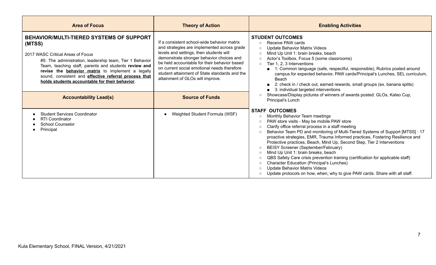| <b>Area of Focus</b>                                                                                                                                                                                                                                                                                                                                                                | <b>Theory of Action</b>                                                                                                                                                                                                                                                                                                                                                | <b>Enabling Activities</b>                                                                                                                                                                                                                                                                                                                                                                                                                                                                                                                                                                                                                                                                                                                                                                                                                                           |
|-------------------------------------------------------------------------------------------------------------------------------------------------------------------------------------------------------------------------------------------------------------------------------------------------------------------------------------------------------------------------------------|------------------------------------------------------------------------------------------------------------------------------------------------------------------------------------------------------------------------------------------------------------------------------------------------------------------------------------------------------------------------|----------------------------------------------------------------------------------------------------------------------------------------------------------------------------------------------------------------------------------------------------------------------------------------------------------------------------------------------------------------------------------------------------------------------------------------------------------------------------------------------------------------------------------------------------------------------------------------------------------------------------------------------------------------------------------------------------------------------------------------------------------------------------------------------------------------------------------------------------------------------|
| <b>BEHAVIOR/MULTI-TIERED SYSTEMS OF SUPPORT</b><br>(MTSS)<br>2017 WASC Critical Areas of Focus<br>#5: The administration, leadership team, Tier 1 Behavior<br>Team, teaching staff, parents and students review and<br>revise the behavior matrix to implement a legally<br>sound, consistent and effective referral process that<br>holds students accountable for their behavior. | If a consistent school-wide behavior matrix<br>and strategies are implemented across grade<br>levels and settings, then students will<br>demonstrate stronger behavior choices and<br>be held accountable for their behavior based<br>on current social emotional needs therefore<br>student attainment of State standards and the<br>attainment of GLOs will improve. | <b>STUDENT OUTCOMES</b><br>Receive PAW cards<br>$\circ$<br><b>Update Behavior Matrix Videos</b><br>$\circ$<br>Mind Up Unit 1: brain breaks, beach<br>$\Omega$<br>Actor's Toolbox, Focus 5 (some classrooms)<br>$\circ$<br>Tier 1, 2, 3 Interventions<br>$\circ$<br>■ 1: Common language (safe, respectful, responsible), Rubrics posted around<br>campus for expected behavior, PAW cards/Principal's Lunches, SEL curriculum,<br>Beach<br>2: check in / check out, earned rewards, small groups (ex. banana splits)<br>3: individual targeted interventions                                                                                                                                                                                                                                                                                                         |
| <b>Accountability Lead(s)</b>                                                                                                                                                                                                                                                                                                                                                       | <b>Source of Funds</b>                                                                                                                                                                                                                                                                                                                                                 | Showcase/Display pictures of winners of awards posted: GLOs, Kaleo Cup,<br>$\circ$<br>Principal's Lunch                                                                                                                                                                                                                                                                                                                                                                                                                                                                                                                                                                                                                                                                                                                                                              |
| <b>Student Services Coordinator</b><br><b>RTI Coordinator</b><br><b>School Counselor</b><br>Principal                                                                                                                                                                                                                                                                               | Weighted Student Formula (WSF)                                                                                                                                                                                                                                                                                                                                         | <b>STAFF OUTCOMES</b><br>Monthly Behavior Team meetings<br>$\circ$<br>PAW store visits - May be mobile PAW store<br>$\circ$<br>Clarify office referral process in a staff meeting<br>$\circ$<br>Behavior Team PD and monitoring of Multi-Tiered Systems of Support [MTSS] : 17<br>$\circ$<br>proactive strategies, EMR, Trauma Informed practices, Fostering Resilience and<br>Protective practices, Beach, Mind Up, Second Step, Tier 2 Interventions<br>BEISY Screener (September/February)<br>$\circ$<br>Mind Up Unit 1: brain breaks, beach<br>$\circ$<br>QBS Safety Care crisis prevention training (certification for applicable staff)<br>$\circ$<br><b>Character Education (Principal's Lunches)</b><br>$\circ$<br><b>Update Behavior Matrix Videos</b><br>$\circ$<br>Update protocols on how, when, why to give PAW cards. Share with all staff.<br>$\circ$ |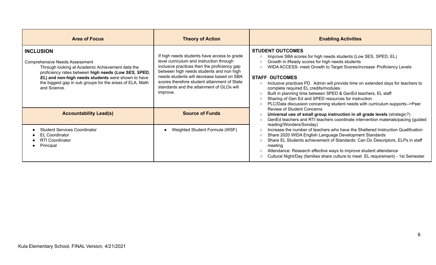| <b>Area of Focus</b>                                                                                                                                                                                                                                                                                    | <b>Theory of Action</b>                                                                                                                                                                                                                                                                                                                   | <b>Enabling Activities</b>                                                                                                                                                                                                                                                                                                                                                                                                                                                                                                                                                                                                                    |
|---------------------------------------------------------------------------------------------------------------------------------------------------------------------------------------------------------------------------------------------------------------------------------------------------------|-------------------------------------------------------------------------------------------------------------------------------------------------------------------------------------------------------------------------------------------------------------------------------------------------------------------------------------------|-----------------------------------------------------------------------------------------------------------------------------------------------------------------------------------------------------------------------------------------------------------------------------------------------------------------------------------------------------------------------------------------------------------------------------------------------------------------------------------------------------------------------------------------------------------------------------------------------------------------------------------------------|
| <b>INCLUSION</b><br><b>Comprehensive Needs Assessment</b><br>Through looking at Academic Achievement data the<br>proficiency rates between high needs (Low SES, SPED,<br>EL) and non-high needs students were shown to have<br>the biggest gap in sub groups for the areas of ELA, Math<br>and Science. | If high needs students have access to grade<br>level curriculum and instruction through<br>inclusive practices then the proficiency gap<br>between high needs students and non high<br>needs students will decrease based on SBA<br>scores therefore student attainment of State<br>standards and the attainment of GLOs will<br>improve. | <b>STUDENT OUTCOMES</b><br>Improve SBA scores for high needs students (Low SES, SPED, EL)<br>$\circ$<br>Growth in iReady scores for high needs students<br>$\circ$<br>WIDA ACCESS- meet Growth to Target Scores/increase Proficiency Levels<br>$\circ$<br><b>STAFF OUTCOMES</b><br>Inclusive practices PD. Admin will provide time on extended days for teachers to<br>complete required EL credits/modules.<br>Built in planning time between SPED & GenEd teachers, EL staff<br>Sharing of Gen Ed and SPED resources for instruction<br>$\Omega$<br>PLC/Data discussion concerning student needs with curriculum supports-->Peer<br>$\circ$ |
| <b>Accountability Lead(s)</b>                                                                                                                                                                                                                                                                           | <b>Source of Funds</b>                                                                                                                                                                                                                                                                                                                    | <b>Review of Student Concerns</b><br>Universal use of small group instruction in all grade levels (strategic?)<br>$\circ$<br>GenEd teachers and RTI teachers coordinate intervention materials/pacing (guided<br>$\circ$                                                                                                                                                                                                                                                                                                                                                                                                                      |
| <b>Student Services Coordinator</b><br><b>EL Coordinator</b><br><b>RTI Coordinator</b><br>Principal                                                                                                                                                                                                     | Weighted Student Formula (WSF)                                                                                                                                                                                                                                                                                                            | reading/Wonders/Sonday)<br>Increase the number of teachers who have the Sheltered Instruction Qualification<br>Share 2020 WIDA English Language Development Standards<br>Share EL Students achievement of Standards: Can Do Descriptors, ELPs in staff<br>meeting<br>Attendance: Research effective ways to improve student attendance<br>Cultural Night/Day (families share culture to meet EL requirement) - 1st Semester                                                                                                                                                                                                                   |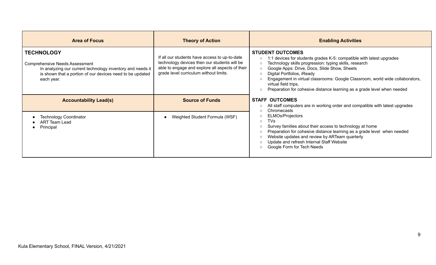| <b>Area of Focus</b>                                                                                                                                                                                | <b>Theory of Action</b>                                                                                                                                                                    | <b>Enabling Activities</b>                                                                                                                                                                                                                                                                                                                                                                                                                                                         |
|-----------------------------------------------------------------------------------------------------------------------------------------------------------------------------------------------------|--------------------------------------------------------------------------------------------------------------------------------------------------------------------------------------------|------------------------------------------------------------------------------------------------------------------------------------------------------------------------------------------------------------------------------------------------------------------------------------------------------------------------------------------------------------------------------------------------------------------------------------------------------------------------------------|
| <b>TECHNOLOGY</b><br><b>Comprehensive Needs Assessment</b><br>In analyzing our current technology inventory and needs it<br>is shown that a portion of our devices need to be updated<br>each year. | If all our students have access to up-to-date<br>technology devices then our students will be<br>able to engage and explore all aspects of their<br>grade level curriculum without limits. | <b>STUDENT OUTCOMES</b><br>1:1 devices for students grades K-5: compatible with latest upgrades<br>$\circ$<br>Technology skills progression: typing skills, research<br>$\circ$<br>Google Apps: Drive, Docs, Slide Show, Sheets<br>$\circ$<br>Digital Portfolios, iReady<br>$\circ$<br>Engagement in virtual classrooms: Google Classroom, world wide collaborators,<br>virtual field trips,<br>Preparation for cohesive distance learning as a grade level when needed<br>$\circ$ |
| <b>Accountability Lead(s)</b>                                                                                                                                                                       | <b>Source of Funds</b>                                                                                                                                                                     | <b>STAFF OUTCOMES</b><br>All staff computers are in working order and compatible with latest upgrades<br>$\circ$                                                                                                                                                                                                                                                                                                                                                                   |
| <b>Technology Coordinator</b><br>ART Team Lead<br>Principal                                                                                                                                         | Weighted Student Formula (WSF)                                                                                                                                                             | Chromecasts<br>$\Omega$<br><b>ELMOs/Projectors</b><br>$\circ$<br>TVs<br>$\circ$<br>Survey families about their access to technology at home<br>$\circ$<br>Preparation for cohesive distance learning as a grade level when needed<br>$\circ$<br>Website updates and review by ARTeam quarterly<br>$\circ$<br>Update and refresh Internal Staff Website<br>$\circ$<br>Google Form for Tech Needs<br>$\circ$                                                                         |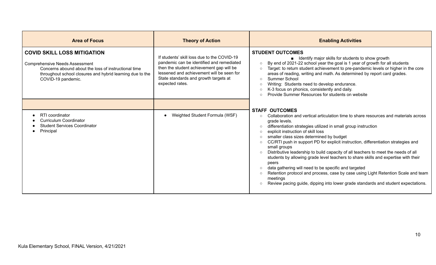| <b>Area of Focus</b>                                                                                                                                                                                                   | <b>Theory of Action</b>                                                                                                                                                                                                                       | <b>Enabling Activities</b>                                                                                                                                                                                                                                                                                                                                                                                                                                                                                                                                                                                                                                                                                                                                                                                                                                                                             |
|------------------------------------------------------------------------------------------------------------------------------------------------------------------------------------------------------------------------|-----------------------------------------------------------------------------------------------------------------------------------------------------------------------------------------------------------------------------------------------|--------------------------------------------------------------------------------------------------------------------------------------------------------------------------------------------------------------------------------------------------------------------------------------------------------------------------------------------------------------------------------------------------------------------------------------------------------------------------------------------------------------------------------------------------------------------------------------------------------------------------------------------------------------------------------------------------------------------------------------------------------------------------------------------------------------------------------------------------------------------------------------------------------|
| <b>COVID SKILL LOSS MITIGATION</b><br><b>Comprehensive Needs Assessment</b><br>Concerns abound about the loss of instructional time<br>throughout school closures and hybrid learning due to the<br>COVID-19 pandemic. | If students' skill loss due to the COVID-19<br>pandemic can be identified and remediated<br>then the student achievement gap will be<br>lessened and achievement will be seen for<br>State standards and growth targets at<br>expected rates. | <b>STUDENT OUTCOMES</b><br>■ Identify major skills for students to show growth<br>By end of 2021-22 school year the goal is 1 year of growth for all students<br>$\circ$<br>Target: to return student achievement to pre-pandemic levels or higher in the core<br>$\circ$<br>areas of reading, writing and math. As determined by report card grades.<br>Summer School<br>$\circ$<br>Writing: Students need to develop endurance.<br>$\circ$<br>K-3 focus on phonics, consistently and daily.<br>$\circ$<br>Provide Summer Resources for students on website<br>$\Omega$<br><b>STAFF OUTCOMES</b>                                                                                                                                                                                                                                                                                                      |
| RTI coordinator<br><b>Curriculum Coordinator</b><br><b>Student Services Coordinator</b><br>Principal                                                                                                                   | Weighted Student Formula (WSF)                                                                                                                                                                                                                | Collaboration and vertical articulation time to share resources and materials across<br>$\circ$<br>grade levels.<br>differentiation strategies utilized in small group instruction<br>$\circ$<br>explicit instruction of skill loss<br>$\Omega$<br>smaller class sizes determined by budget<br>$\circ$<br>CC/RTI push in support PD for explicit instruction, differentiation strategies and<br>$\circ$<br>small groups<br>Distributive leadership to build capacity of all teachers to meet the needs of all<br>$\circ$<br>students by allowing grade level teachers to share skills and expertise with their<br>peers<br>data gathering will need to be specific and targeted<br>$\circ$<br>Retention protocol and process, case by case using Light Retention Scale and team<br>$\circ$<br>meetings<br>Review pacing guide, dipping into lower grade standards and student expectations.<br>$\circ$ |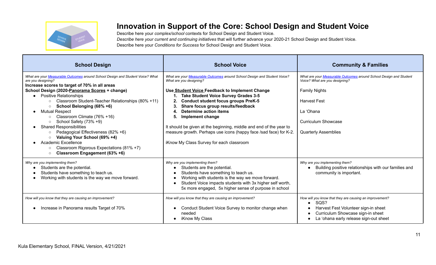![](_page_11_Picture_0.jpeg)

## **Innovation in Support of the Core: School Design and Student Voice**

Describe here your *complex/school* contexts for School Design and Student Voice. *Describe here your current and continuing initiatives* that will further advance your 2020-21 School Design and Student Voice. Describe here your *Conditions for Success* for School Design and Student Voice.

| <b>School Design</b>                                                                                                                                                                                                                                                                                                                                                                                                                                                                                                                                                                                                                                                                                 | <b>School Voice</b>                                                                                                                                                                                                                                                                                                                                                                                                                                                                                                                                     | <b>Community &amp; Families</b>                                                                                                                                                                                               |
|------------------------------------------------------------------------------------------------------------------------------------------------------------------------------------------------------------------------------------------------------------------------------------------------------------------------------------------------------------------------------------------------------------------------------------------------------------------------------------------------------------------------------------------------------------------------------------------------------------------------------------------------------------------------------------------------------|---------------------------------------------------------------------------------------------------------------------------------------------------------------------------------------------------------------------------------------------------------------------------------------------------------------------------------------------------------------------------------------------------------------------------------------------------------------------------------------------------------------------------------------------------------|-------------------------------------------------------------------------------------------------------------------------------------------------------------------------------------------------------------------------------|
| What are your Measurable Outcomes around School Design and Student Voice? What<br>are you designing?<br>Increase scores to target of 70% in all areas<br>School Design (2020-Panorama Scores + change)<br><b>Positive Relationships</b><br>Classroom Student-Teacher Relationships (80% +11)<br>$\circ$<br>School Belonging (68% +6)<br>$\circ$<br><b>Mutual Respect</b><br>Classroom Climate (76% +16)<br>$\circ$<br>School Safety (73% +9)<br>$\circ$<br><b>Shared Responsibilities</b><br>Pedagogical Effectiveness (82% +6)<br>Valuing Your School (69% +4)<br>$\circ$<br>Academic Excellence<br>Classroom Rigorous Expectations (81% +7)<br>$\circ$<br>Classroom Engagement (63% +6)<br>$\circ$ | What are your Measurable Outcomes around School Design and Student Voice?<br>What are you designing?<br>Use Student Voice Feedback to Implement Change<br><b>Take Student Voice Survey Grades 3-5</b><br><b>Conduct student focus groups PreK-5</b><br>2.<br>Share focus group results/feedback<br>3.<br><b>Determine action items</b><br>5.<br>Implement change<br>It should be given at the beginning, middle and end of the year to<br>measure growth. Perhaps use icons (happy face /sad face) for K-2.<br>iKnow My Class Survey for each classroom | What are your Measurable Outcomes around School Design and Student<br>Voice? What are you designing?<br><b>Family Nights</b><br><b>Harvest Fest</b><br>La 'Ohana<br><b>Curriculum Showcase</b><br><b>Quarterly Assemblies</b> |
| Why are you implementing them?<br>Students are the potential.<br>Students have something to teach us.<br>Working with students is the way we move forward.                                                                                                                                                                                                                                                                                                                                                                                                                                                                                                                                           | Why are you implementing them?<br>Students are the potential.<br>Students have something to teach us.<br>Working with students is the way we move forward.<br>$\bullet$<br>Student Voice impacts students with 3x higher self worth,<br>5x more engaged, 5x higher sense of purpose in school                                                                                                                                                                                                                                                           | Why are you implementing them?<br>Building positive relationships with our families and<br>community is important.                                                                                                            |
| How will you know that they are causing an improvement?<br>Increase in Panorama results Target of 70%                                                                                                                                                                                                                                                                                                                                                                                                                                                                                                                                                                                                | How will you know that they are causing an improvement?<br>Conduct Student Voice Survey to monitor change when<br>needed<br>iKnow My Class                                                                                                                                                                                                                                                                                                                                                                                                              | How will you know that they are causing an improvement?<br>SQS?<br>Harvest Fest Volunteer sign-in sheet<br>Curriculum Showcase sign-in sheet<br>La 'ohana early release sign-out sheet                                        |